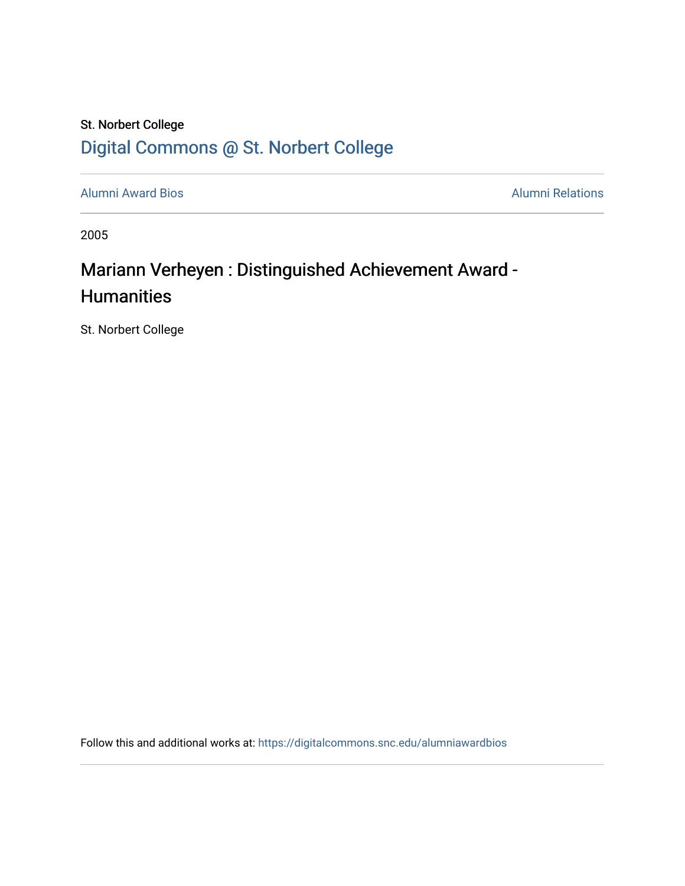## St. Norbert College [Digital Commons @ St. Norbert College](https://digitalcommons.snc.edu/)

[Alumni Award Bios](https://digitalcommons.snc.edu/alumniawardbios) **Alumni Relations** Alumni Relations

2005

## Mariann Verheyen : Distinguished Achievement Award -**Humanities**

St. Norbert College

Follow this and additional works at: [https://digitalcommons.snc.edu/alumniawardbios](https://digitalcommons.snc.edu/alumniawardbios?utm_source=digitalcommons.snc.edu%2Falumniawardbios%2F17&utm_medium=PDF&utm_campaign=PDFCoverPages)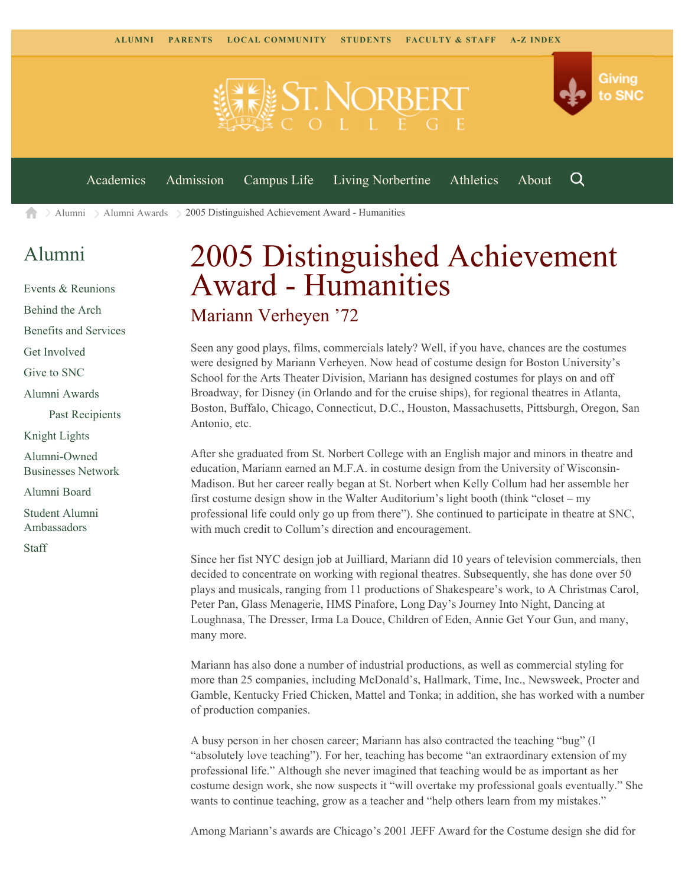

 $\geq$  [Alumni](https://www.snc.edu/alumni/)  $\geq$  [Alumni Awards](https://www.snc.edu/alumni/awards/)  $\geq$  2005 Distinguished Achievement Award - Humanities A

## [Alumni](https://www.snc.edu/alumni/index.html)

[Events & Reunions](https://www.snc.edu/alumni/event/index.html) [Behind the Arch](https://www.snc.edu/alumni/event/behindthearch/) [Benefits and Services](https://www.snc.edu/alumni/benefits.html) [Get Involved](https://www.snc.edu/alumni/getinvolved.html) [Give to SNC](http://giving.snc.edu/) [Alumni Awards](https://www.snc.edu/alumni/awards/index.html) [Past Recipients](https://www.snc.edu/alumni/awards/recipients.html) [Knight Lights](https://www.snc.edu/alumni/knightlights/index.html) [Alumni-Owned](https://www.snc.edu/alumni/directory/index.html) [Businesses Network](https://www.snc.edu/alumni/directory/index.html) [Alumni Board](https://www.snc.edu/alumni/alumniboard.html) [Student Alumni](https://www.snc.edu/alumni/saa.html) [Ambassadors](https://www.snc.edu/alumni/saa.html) [Staff](https://www.snc.edu/alumni/contactus.html)

## 2005 Distinguished Achievement Award - Humanities Mariann Verheyen '72

Seen any good plays, films, commercials lately? Well, if you have, chances are the costumes were designed by Mariann Verheyen. Now head of costume design for Boston University's School for the Arts Theater Division, Mariann has designed costumes for plays on and off Broadway, for Disney (in Orlando and for the cruise ships), for regional theatres in Atlanta, Boston, Buffalo, Chicago, Connecticut, D.C., Houston, Massachusetts, Pittsburgh, Oregon, San Antonio, etc.

After she graduated from St. Norbert College with an English major and minors in theatre and education, Mariann earned an M.F.A. in costume design from the University of Wisconsin-Madison. But her career really began at St. Norbert when Kelly Collum had her assemble her first costume design show in the Walter Auditorium's light booth (think "closet – my professional life could only go up from there"). She continued to participate in theatre at SNC, with much credit to Collum's direction and encouragement.

Since her fist NYC design job at Juilliard, Mariann did 10 years of television commercials, then decided to concentrate on working with regional theatres. Subsequently, she has done over 50 plays and musicals, ranging from 11 productions of Shakespeare's work, to A Christmas Carol, Peter Pan, Glass Menagerie, HMS Pinafore, Long Day's Journey Into Night, Dancing at Loughnasa, The Dresser, Irma La Douce, Children of Eden, Annie Get Your Gun, and many, many more.

Mariann has also done a number of industrial productions, as well as commercial styling for more than 25 companies, including McDonald's, Hallmark, Time, Inc., Newsweek, Procter and Gamble, Kentucky Fried Chicken, Mattel and Tonka; in addition, she has worked with a number of production companies.

A busy person in her chosen career; Mariann has also contracted the teaching "bug" (I "absolutely love teaching"). For her, teaching has become "an extraordinary extension of my professional life." Although she never imagined that teaching would be as important as her costume design work, she now suspects it "will overtake my professional goals eventually." She wants to continue teaching, grow as a teacher and "help others learn from my mistakes."

Among Mariann's awards are Chicago's 2001 JEFF Award for the Costume design she did for